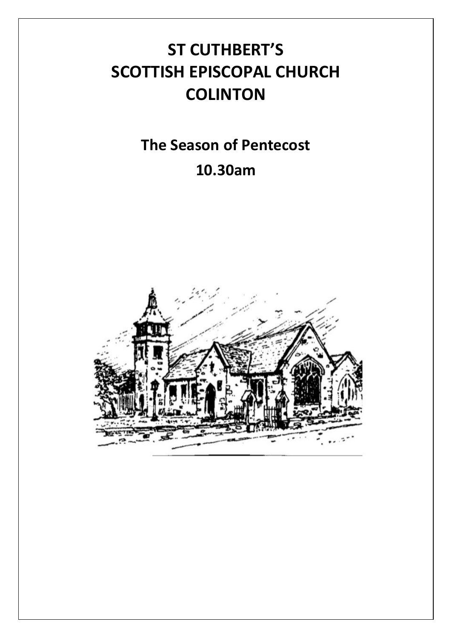# **ST CUTHBERT'S SCOTTISH EPISCOPAL CHURCH COLINTON**

## **The Season of Pentecost 10.30am**

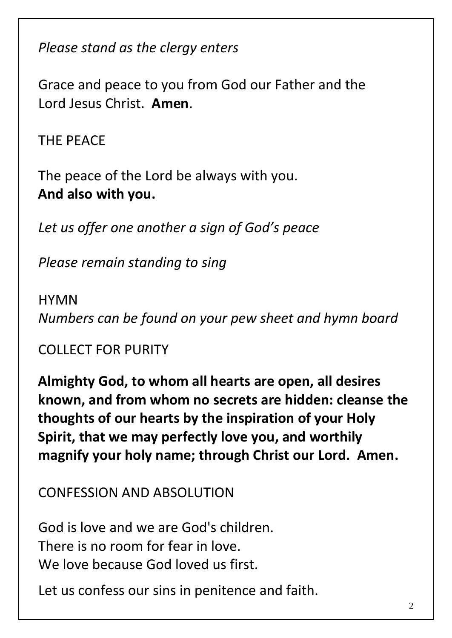*Please stand as the clergy enters*

Grace and peace to you from God our Father and the Lord Jesus Christ. **Amen**.

THE PEACE

The peace of the Lord be always with you. **And also with you.**

*Let us offer one another a sign of God's peace*

*Please remain standing to sing*

**HYMN** *Numbers can be found on your pew sheet and hymn board*

## COLLECT FOR PURITY

**Almighty God, to whom all hearts are open, all desires known, and from whom no secrets are hidden: cleanse the thoughts of our hearts by the inspiration of your Holy Spirit, that we may perfectly love you, and worthily magnify your holy name; through Christ our Lord. Amen.**

#### CONFESSION AND ABSOLUTION

God is love and we are God's children. There is no room for fear in love. We love because God loved us first.

Let us confess our sins in penitence and faith.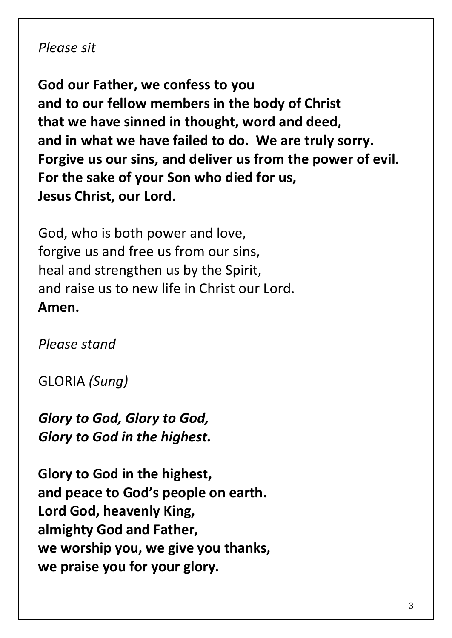#### *Please sit*

**God our Father, we confess to you and to our fellow members in the body of Christ that we have sinned in thought, word and deed, and in what we have failed to do. We are truly sorry. Forgive us our sins, and deliver us from the power of evil. For the sake of your Son who died for us, Jesus Christ, our Lord.**

God, who is both power and love, forgive us and free us from our sins, heal and strengthen us by the Spirit, and raise us to new life in Christ our Lord. **Amen.**

*Please stand*

GLORIA *(Sung)*

*Glory to God, Glory to God, Glory to God in the highest.*

**Glory to God in the highest, and peace to God's people on earth. Lord God, heavenly King, almighty God and Father, we worship you, we give you thanks, we praise you for your glory.**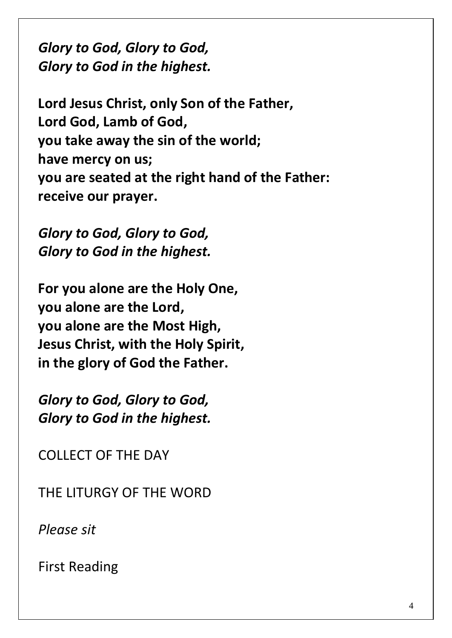*Glory to God, Glory to God, Glory to God in the highest.*

**Lord Jesus Christ, only Son of the Father, Lord God, Lamb of God, you take away the sin of the world; have mercy on us; you are seated at the right hand of the Father: receive our prayer.**

*Glory to God, Glory to God, Glory to God in the highest.*

**For you alone are the Holy One, you alone are the Lord, you alone are the Most High, Jesus Christ, with the Holy Spirit, in the glory of God the Father.**

*Glory to God, Glory to God, Glory to God in the highest.*

COLLECT OF THE DAY

THE LITURGY OF THE WORD

*Please sit*

First Reading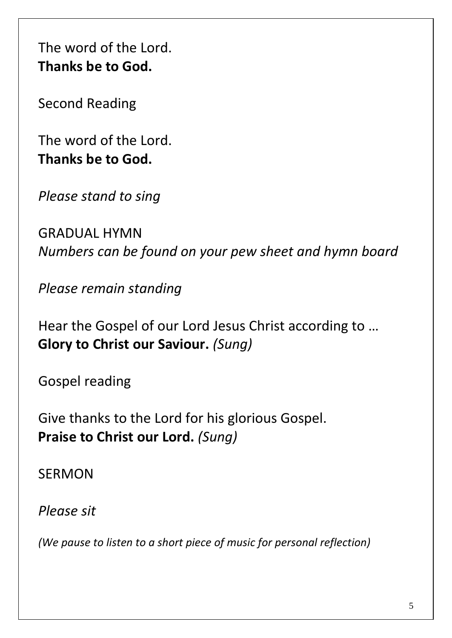The word of the Lord. **Thanks be to God.**

Second Reading

The word of the Lord. **Thanks be to God.**

*Please stand to sing*

GRADUAL HYMN *Numbers can be found on your pew sheet and hymn board*

*Please remain standing*

Hear the Gospel of our Lord Jesus Christ according to … **Glory to Christ our Saviour.** *(Sung)*

Gospel reading

Give thanks to the Lord for his glorious Gospel. **Praise to Christ our Lord.** *(Sung)*

SERMON

*Please sit*

*(We pause to listen to a short piece of music for personal reflection)*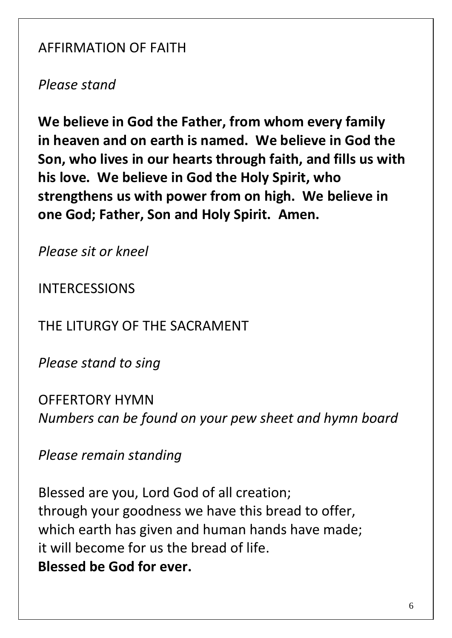## AFFIRMATION OF FAITH

*Please stand*

**We believe in God the Father, from whom every family in heaven and on earth is named. We believe in God the Son, who lives in our hearts through faith, and fills us with his love. We believe in God the Holy Spirit, who strengthens us with power from on high. We believe in one God; Father, Son and Holy Spirit. Amen.**

*Please sit or kneel*

INTERCESSIONS

THE LITURGY OF THE SACRAMENT

*Please stand to sing*

OFFERTORY HYMN *Numbers can be found on your pew sheet and hymn board*

*Please remain standing*

Blessed are you, Lord God of all creation; through your goodness we have this bread to offer, which earth has given and human hands have made; it will become for us the bread of life. **Blessed be God for ever.**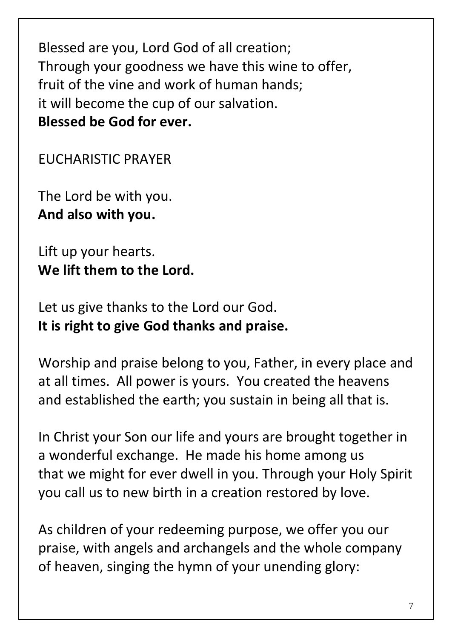Blessed are you, Lord God of all creation; Through your goodness we have this wine to offer, fruit of the vine and work of human hands; it will become the cup of our salvation. **Blessed be God for ever.**

EUCHARISTIC PRAYER

The Lord be with you. **And also with you.**

Lift up your hearts. **We lift them to the Lord.**

Let us give thanks to the Lord our God. **It is right to give God thanks and praise.**

Worship and praise belong to you, Father, in every place and at all times. All power is yours. You created the heavens and established the earth; you sustain in being all that is.

In Christ your Son our life and yours are brought together in a wonderful exchange. He made his home among us that we might for ever dwell in you. Through your Holy Spirit you call us to new birth in a creation restored by love.

As children of your redeeming purpose, we offer you our praise, with angels and archangels and the whole company of heaven, singing the hymn of your unending glory: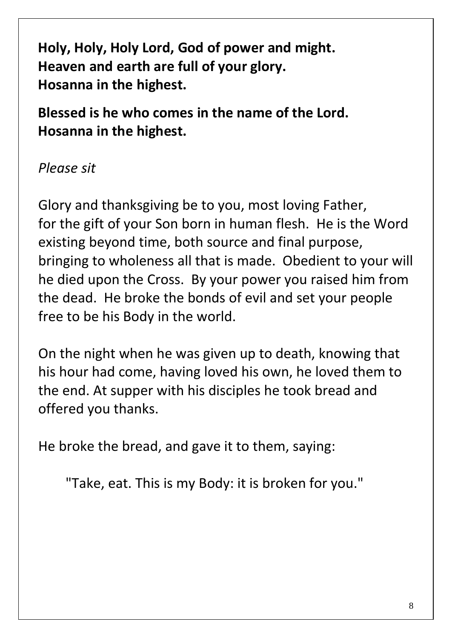**Holy, Holy, Holy Lord, God of power and might. Heaven and earth are full of your glory. Hosanna in the highest.**

**Blessed is he who comes in the name of the Lord. Hosanna in the highest.**

*Please sit*

Glory and thanksgiving be to you, most loving Father, for the gift of your Son born in human flesh. He is the Word existing beyond time, both source and final purpose, bringing to wholeness all that is made. Obedient to your will he died upon the Cross. By your power you raised him from the dead. He broke the bonds of evil and set your people free to be his Body in the world.

On the night when he was given up to death, knowing that his hour had come, having loved his own, he loved them to the end. At supper with his disciples he took bread and offered you thanks.

He broke the bread, and gave it to them, saying:

"Take, eat. This is my Body: it is broken for you."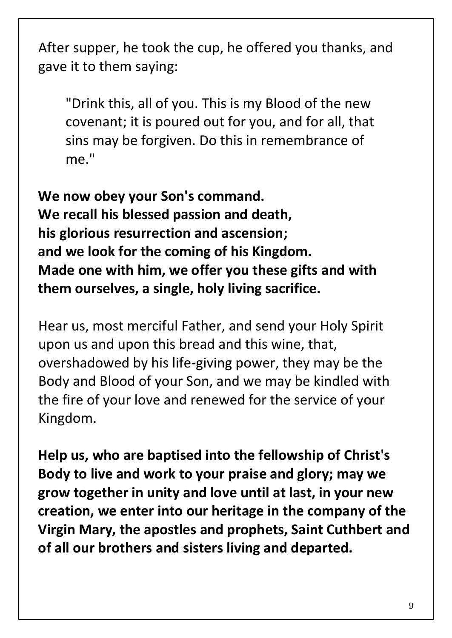After supper, he took the cup, he offered you thanks, and gave it to them saying:

"Drink this, all of you. This is my Blood of the new covenant; it is poured out for you, and for all, that sins may be forgiven. Do this in remembrance of me."

**We now obey your Son's command. We recall his blessed passion and death, his glorious resurrection and ascension; and we look for the coming of his Kingdom. Made one with him, we offer you these gifts and with them ourselves, a single, holy living sacrifice.**

Hear us, most merciful Father, and send your Holy Spirit upon us and upon this bread and this wine, that, overshadowed by his life-giving power, they may be the Body and Blood of your Son, and we may be kindled with the fire of your love and renewed for the service of your Kingdom.

**Help us, who are baptised into the fellowship of Christ's Body to live and work to your praise and glory; may we grow together in unity and love until at last, in your new creation, we enter into our heritage in the company of the Virgin Mary, the apostles and prophets, Saint Cuthbert and of all our brothers and sisters living and departed.**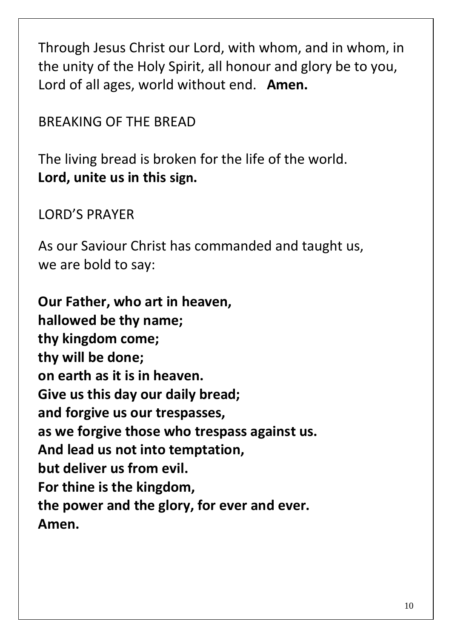Through Jesus Christ our Lord, with whom, and in whom, in the unity of the Holy Spirit, all honour and glory be to you, Lord of all ages, world without end. **Amen.**

BREAKING OF THE BREAD

The living bread is broken for the life of the world. **Lord, unite us in this sign.**

LORD'S PRAYER

As our Saviour Christ has commanded and taught us, we are bold to say:

**Our Father, who art in heaven, hallowed be thy name; thy kingdom come; thy will be done; on earth as it is in heaven. Give us this day our daily bread; and forgive us our trespasses, as we forgive those who trespass against us. And lead us not into temptation, but deliver us from evil. For thine is the kingdom, the power and the glory, for ever and ever. Amen.**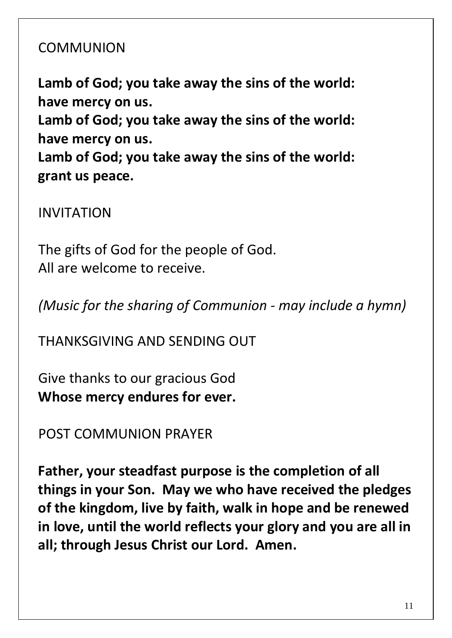## COMMUNION

**Lamb of God; you take away the sins of the world: have mercy on us.**

**Lamb of God; you take away the sins of the world: have mercy on us.**

**Lamb of God; you take away the sins of the world: grant us peace.**

INVITATION

The gifts of God for the people of God. All are welcome to receive.

*(Music for the sharing of Communion - may include a hymn)*

THANKSGIVING AND SENDING OUT

Give thanks to our gracious God **Whose mercy endures for ever.**

POST COMMUNION PRAYER

**Father, your steadfast purpose is the completion of all things in your Son. May we who have received the pledges of the kingdom, live by faith, walk in hope and be renewed in love, until the world reflects your glory and you are all in all; through Jesus Christ our Lord. Amen.**